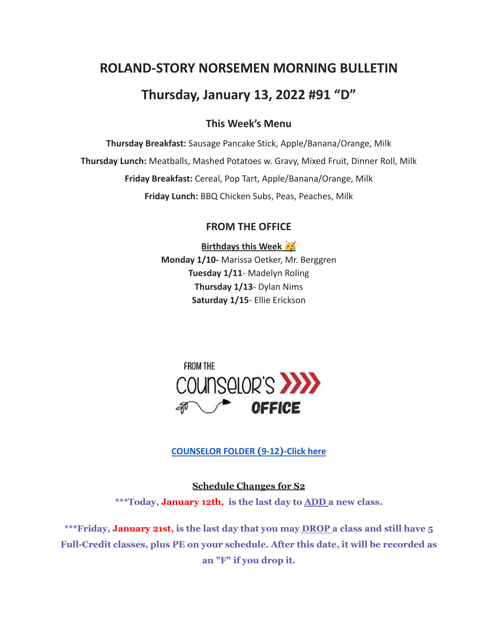# **ROLAND-STORY NORSEMEN MORNING BULLETIN**

# **Thursday, January 13, 2022 #91 "D"**

# **This Week's Menu**

**Thursday Breakfast:** Sausage Pancake Stick, Apple/Banana/Orange, Milk **Thursday Lunch:** Meatballs, Mashed Potatoes w. Gravy, Mixed Fruit, Dinner Roll, Milk **Friday Breakfast:** Cereal, Pop Tart, Apple/Banana/Orange, Milk **Friday Lunch:** BBQ Chicken Subs, Peas, Peaches, Milk

# **FROM THE OFFICE**

**Birthdays this Week Monday 1/10-** Marissa Oetker, Mr. Berggren **Tuesday 1/11**- Madelyn Roling **Thursday 1/13**- Dylan Nims **Saturday 1/15**- Ellie Erickson



**[COUNSELOR FOLDER](https://docs.google.com/document/d/1vmwczNPbDzXe9vFaG5LJMQ7NYDv-i4oQJHybqA65TUc/edit?usp=sharing) (9-12)-Click here**

**Schedule Changes for S2 \*\*\*Today, January 12th, is the last day to ADD a new class.**

**\*\*\*Friday, January 21st, is the last day that you may DROP a class and still have 5 Full-Credit classes, plus PE on your schedule. After this date, it will be recorded as an "F" if you drop it.**